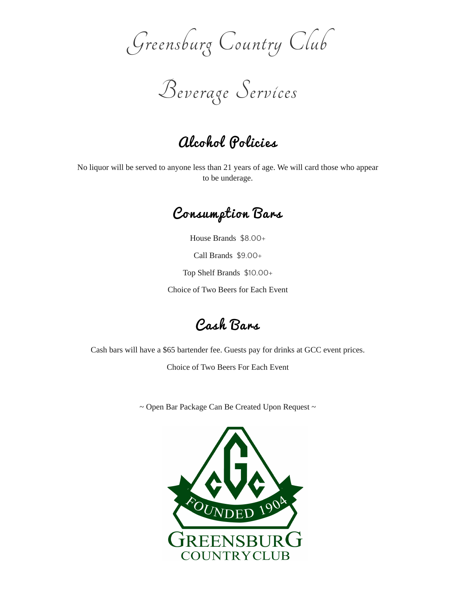Greensburg Country Club

Beverage Services

## Alcohol Policies

No liquor will be served to anyone less than 21 years of age. We will card those who appear to be underage.

Consumption Bars

House Brands \$8.00+

Call Brands \$9.00+

Top Shelf Brands \$10.00+

Choice of Two Beers for Each Event

Cash Bars

Cash bars will have a \$65 bartender fee. Guests pay for drinks at GCC event prices.

Choice of Two Beers For Each Event

 $\sim$  Open Bar Package Can Be Created Upon Request  $\sim$